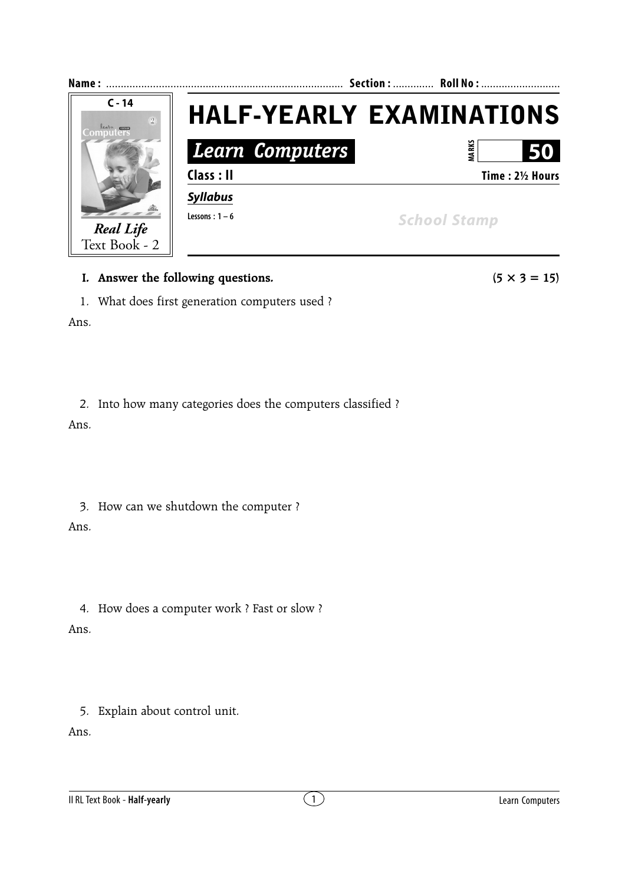

## **I.** Answer the following questions. ( $5 \times 3 = 15$ )

1. What does first generation computers used ?

Ans.

2. Into how many categories does the computers classified ?

Ans.

3. How can we shutdown the computer ?

Ans.

4. How does a computer work ? Fast or slow ?

Ans.

5. Explain about control unit.

Ans.

II RL Text Book - **Half-yearly** 2 **Computers** and  $\binom{1}{1}$